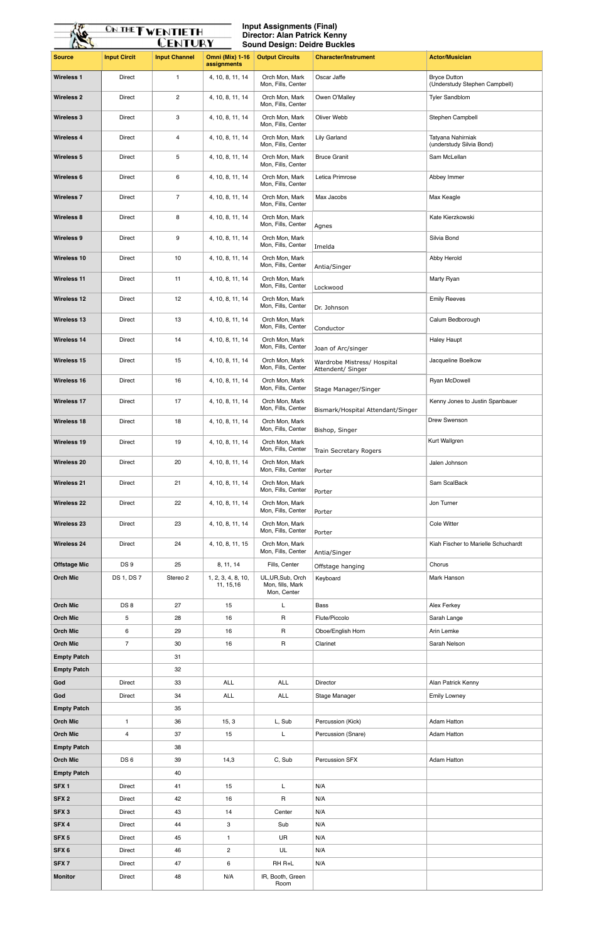| <b>Source</b>                         | <b>Input Circit</b>     | <b>Input Channel</b> | <b>Omni (Mix) 1-16</b><br>assignments | <b>Output Circuits</b>                               | <b>Character/Instrument</b>                      | <b>Actor/Musician</b>                                |
|---------------------------------------|-------------------------|----------------------|---------------------------------------|------------------------------------------------------|--------------------------------------------------|------------------------------------------------------|
| <b>Wireless 1</b>                     | Direct                  | $\mathbf{1}$         | 4, 10, 8, 11, 14                      | Orch Mon, Mark<br>Mon, Fills, Center                 | Oscar Jaffe                                      | <b>Bryce Dutton</b><br>(Understudy Stephen Campbell) |
| <b>Wireless 2</b>                     | Direct                  | $\overline{2}$       | 4, 10, 8, 11, 14                      | Orch Mon, Mark<br>Mon, Fills, Center                 | Owen O'Malley                                    | <b>Tyler Sandblom</b>                                |
| <b>Wireless 3</b>                     | Direct                  | 3                    | 4, 10, 8, 11, 14                      | Orch Mon, Mark<br>Mon, Fills, Center                 | Oliver Webb                                      | Stephen Campbell                                     |
| <b>Wireless 4</b>                     | <b>Direct</b>           | 4                    | 4, 10, 8, 11, 14                      | Orch Mon, Mark<br>Mon, Fills, Center                 | <b>Lily Garland</b>                              | Tatyana Nahirniak<br>(understudy Silvia Bond)        |
| <b>Wireless 5</b>                     | Direct                  | 5                    | 4, 10, 8, 11, 14                      | Orch Mon, Mark<br>Mon, Fills, Center                 | <b>Bruce Granit</b>                              | Sam McLellan                                         |
| <b>Wireless 6</b>                     | Direct                  | 6                    | 4, 10, 8, 11, 14                      | Orch Mon, Mark<br>Mon, Fills, Center                 | Letica Primrose                                  | Abbey Immer                                          |
| <b>Wireless 7</b>                     | Direct                  | $\overline{7}$       | 4, 10, 8, 11, 14                      | Orch Mon, Mark<br>Mon, Fills, Center                 | Max Jacobs                                       | Max Keagle                                           |
| <b>Wireless 8</b>                     | Direct                  | 8                    | 4, 10, 8, 11, 14                      | Orch Mon, Mark<br>Mon, Fills, Center                 | Agnes                                            | Kate Kierzkowski                                     |
| <b>Wireless 9</b>                     | Direct                  | 9                    | 4, 10, 8, 11, 14                      | Orch Mon, Mark<br>Mon, Fills, Center                 | Imelda                                           | Silvia Bond                                          |
| <b>Wireless 10</b>                    | Direct                  | 10                   | 4, 10, 8, 11, 14                      | Orch Mon, Mark<br>Mon, Fills, Center                 | Antia/Singer                                     | Abby Herold                                          |
| <b>Wireless 11</b>                    | Direct                  | 11                   | 4, 10, 8, 11, 14                      | Orch Mon, Mark<br>Mon, Fills, Center                 | Lockwood                                         | Marty Ryan                                           |
| <b>Wireless 12</b>                    | Direct                  | 12                   | 4, 10, 8, 11, 14                      | Orch Mon, Mark<br>Mon, Fills, Center                 | Dr. Johnson                                      | <b>Emily Reeves</b>                                  |
| <b>Wireless 13</b>                    | Direct                  | 13                   | 4, 10, 8, 11, 14                      | Orch Mon, Mark<br>Mon, Fills, Center                 | Conductor                                        | Calum Bedborough                                     |
| <b>Wireless 14</b>                    | Direct                  | 14                   | 4, 10, 8, 11, 14                      | Orch Mon, Mark<br>Mon, Fills, Center                 | Joan of Arc/singer                               | <b>Haley Haupt</b>                                   |
| <b>Wireless 15</b>                    | Direct                  | 15                   | 4, 10, 8, 11, 14                      | Orch Mon, Mark<br>Mon, Fills, Center                 | Wardrobe Mistress/ Hospital<br>Attendent/ Singer | Jacqueline Boelkow                                   |
| Wireless 16                           | <b>Direct</b>           | 16                   | 4, 10, 8, 11, 14                      | Orch Mon, Mark<br>Mon, Fills, Center                 | Stage Manager/Singer                             | Ryan McDowell                                        |
| <b>Wireless 17</b>                    | <b>Direct</b>           | 17                   | 4, 10, 8, 11, 14                      | Orch Mon, Mark<br>Mon, Fills, Center                 | Bismark/Hospital Attendant/Singer                | Kenny Jones to Justin Spanbauer                      |
| <b>Wireless 18</b>                    | <b>Direct</b>           | 18                   | 4, 10, 8, 11, 14                      | Orch Mon, Mark<br>Mon, Fills, Center                 | Bishop, Singer                                   | Drew Swenson                                         |
| <b>Wireless 19</b>                    | Direct                  | 19                   | 4, 10, 8, 11, 14                      | Orch Mon, Mark<br>Mon, Fills, Center                 | Train Secretary Rogers                           | Kurt Wallgren                                        |
| <b>Wireless 20</b>                    | <b>Direct</b>           | $20\,$               | 4, 10, 8, 11, 14                      | Orch Mon, Mark<br>Mon, Fills, Center                 | Porter                                           | Jalen Johnson                                        |
| <b>Wireless 21</b>                    | Direct                  | 21                   | 4, 10, 8, 11, 14                      | Orch Mon, Mark<br>Mon, Fills, Center                 | Porter                                           | Sam ScalBack                                         |
| <b>Wireless 22</b>                    | Direct                  | 22                   | 4, 10, 8, 11, 14                      | Orch Mon, Mark<br>Mon, Fills, Center                 | Porter                                           | Jon Turner                                           |
| <b>Wireless 23</b>                    | <b>Direct</b>           | 23                   | 4, 10, 8, 11, 14                      | Orch Mon, Mark<br>Mon, Fills, Center                 | Porter                                           | <b>Cole Witter</b>                                   |
| <b>Wireless 24</b>                    | Direct                  | 24                   | 4, 10, 8, 11, 15                      | Orch Mon, Mark<br>Mon, Fills, Center                 | Antia/Singer                                     | Kiah Fischer to Marielle Schuchardt                  |
| <b>Offstage Mic</b>                   | DS 9                    | 25                   | 8, 11, 14                             | Fills, Center                                        | Offstage hanging                                 | Chorus                                               |
| <b>Orch Mic</b>                       | DS 1, DS 7              | Stereo 2             | 1, 2, 3, 4, 8, 10,<br>11, 15, 16      | UL, UR, Sub, Orch<br>Mon, fills, Mark<br>Mon, Center | Keyboard                                         | Mark Hanson                                          |
| <b>Orch Mic</b>                       | DS8                     | 27                   | 15                                    | L                                                    | <b>Bass</b>                                      | Alex Ferkey                                          |
| <b>Orch Mic</b>                       | 5                       | 28                   | 16                                    | R                                                    | Flute/Piccolo                                    | Sarah Lange                                          |
| <b>Orch Mic</b>                       | 6                       | 29                   | 16                                    | R                                                    | Oboe/English Horn                                | Arin Lemke                                           |
| <b>Orch Mic</b>                       | $\overline{7}$          | 30                   | 16                                    | R                                                    | Clarinet                                         | Sarah Nelson                                         |
| <b>Empty Patch</b>                    |                         | 31                   |                                       |                                                      |                                                  |                                                      |
| <b>Empty Patch</b>                    |                         | 32                   |                                       |                                                      |                                                  |                                                      |
| God                                   | Direct                  | 33                   | ALL                                   | ALL                                                  | Director                                         | Alan Patrick Kenny                                   |
| God                                   | Direct                  | 34                   | ALL                                   | <b>ALL</b>                                           | Stage Manager                                    | <b>Emily Lowney</b>                                  |
| <b>Empty Patch</b>                    |                         | 35                   |                                       |                                                      |                                                  |                                                      |
| <b>Orch Mic</b>                       | $\mathbf{1}$            | 36                   | 15, 3                                 | L, Sub                                               | Percussion (Kick)                                | <b>Adam Hatton</b>                                   |
| <b>Orch Mic</b><br><b>Empty Patch</b> | $\overline{\mathbf{4}}$ | 37<br>38             | 15                                    | L                                                    | Percussion (Snare)                               | <b>Adam Hatton</b>                                   |
| <b>Orch Mic</b>                       | DS <sub>6</sub>         | 39                   | 14,3                                  | C, Sub                                               | Percussion SFX                                   | <b>Adam Hatton</b>                                   |
| <b>Empty Patch</b>                    |                         | 40                   |                                       |                                                      |                                                  |                                                      |
| SFX <sub>1</sub>                      | Direct                  | 41                   | 15                                    | L                                                    | N/A                                              |                                                      |
| SFX <sub>2</sub>                      | Direct                  | 42                   | 16                                    | R                                                    | N/A                                              |                                                      |
| SFX <sub>3</sub>                      | Direct                  | 43                   | 14                                    | Center                                               | N/A                                              |                                                      |
| SFX <sub>4</sub>                      | Direct                  | 44                   | 3                                     | Sub                                                  | N/A                                              |                                                      |
| SFX <sub>5</sub>                      | Direct                  | 45                   | $\mathbf{1}$                          | <b>UR</b>                                            | N/A                                              |                                                      |
| SFX 6                                 | Direct                  | 46                   | $\mathbf{2}^{\prime}$                 | UL                                                   | N/A                                              |                                                      |
| SFX <sub>7</sub>                      | Direct                  | 47                   | 6                                     | RH R+L                                               | N/A                                              |                                                      |
| <b>Monitor</b>                        | Direct                  | 48                   | N/A                                   | IR, Booth, Green                                     |                                                  |                                                      |
|                                       |                         |                      |                                       | Room                                                 |                                                  |                                                      |

## <u>ON THE TWENTIETH</u> Ma

**Input Assignments (Final) Director: Alan Patrick Kenny Sound Design: Deidre Buckles**